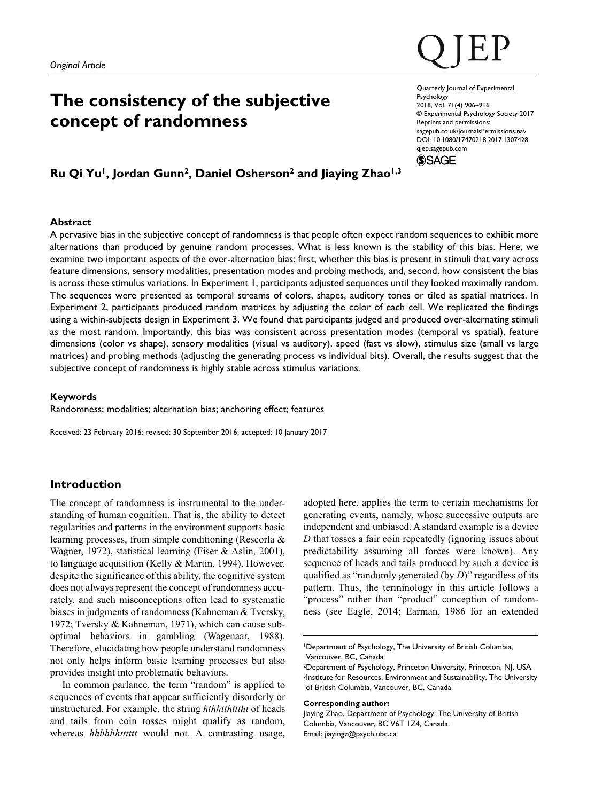# **The consistency of the subjective concept of randomness**

DOI: 10.1080/17470218.2017.1307428 Quarterly Journal of Experimental **Psychology** 2018, Vol. 71(4) 906–916 © Experimental Psychology Society 2017 Reprints and permissions: [sagepub.co.uk/journalsPermissions.nav](https://uk.sagepub.com/en-gb/journals-permissions) qjep.sagepub.com

**SSAGE** 

# **Ru Qi Yu1, Jordan Gunn2, Daniel Osherson2 and Jiaying Zhao1,3**

# **Abstract**

A pervasive bias in the subjective concept of randomness is that people often expect random sequences to exhibit more alternations than produced by genuine random processes. What is less known is the stability of this bias. Here, we examine two important aspects of the over-alternation bias: first, whether this bias is present in stimuli that vary across feature dimensions, sensory modalities, presentation modes and probing methods, and, second, how consistent the bias is across these stimulus variations. In Experiment 1, participants adjusted sequences until they looked maximally random. The sequences were presented as temporal streams of colors, shapes, auditory tones or tiled as spatial matrices. In Experiment 2, participants produced random matrices by adjusting the color of each cell. We replicated the findings using a within-subjects design in Experiment 3. We found that participants judged and produced over-alternating stimuli as the most random. Importantly, this bias was consistent across presentation modes (temporal vs spatial), feature dimensions (color vs shape), sensory modalities (visual vs auditory), speed (fast vs slow), stimulus size (small vs large matrices) and probing methods (adjusting the generating process vs individual bits). Overall, the results suggest that the subjective concept of randomness is highly stable across stimulus variations.

### **Keywords**

Randomness; modalities; alternation bias; anchoring effect; features

Received: 23 February 2016; revised: 30 September 2016; accepted: 10 January 2017

# **Introduction**

The concept of randomness is instrumental to the understanding of human cognition. That is, the ability to detect regularities and patterns in the environment supports basic learning processes, from simple conditioning (Rescorla & Wagner, 1972), statistical learning (Fiser & Aslin, 2001), to language acquisition (Kelly & Martin, 1994). However, despite the significance of this ability, the cognitive system does not always represent the concept of randomness accurately, and such misconceptions often lead to systematic biases in judgments of randomness (Kahneman & Tversky, 1972; Tversky & Kahneman, 1971), which can cause suboptimal behaviors in gambling (Wagenaar, 1988). Therefore, elucidating how people understand randomness not only helps inform basic learning processes but also provides insight into problematic behaviors.

In common parlance, the term "random" is applied to sequences of events that appear sufficiently disorderly or unstructured. For example, the string *hthhtthtttht* of heads and tails from coin tosses might qualify as random, whereas *hhhhhhtttttt* would not. A contrasting usage,

adopted here, applies the term to certain mechanisms for generating events, namely, whose successive outputs are independent and unbiased. A standard example is a device *D* that tosses a fair coin repeatedly (ignoring issues about predictability assuming all forces were known). Any sequence of heads and tails produced by such a device is qualified as "randomly generated (by *D*)" regardless of its pattern. Thus, the terminology in this article follows a "process" rather than "product" conception of randomness (see Eagle, 2014; Earman, 1986 for an extended

#### **Corresponding author:**

Jiaying Zhao, Department of Psychology, The University of British Columbia, Vancouver, BC V6T 1Z4, Canada. Email: [jiayingz@psych.ubc.ca](mailto:jiayingz@psych.ubc.ca)

<sup>1</sup>Department of Psychology, The University of British Columbia, Vancouver, BC, Canada

<sup>&</sup>lt;sup>2</sup>Department of Psychology, Princeton University, Princeton, NJ, USA 3Institute for Resources, Environment and Sustainability, The University of British Columbia, Vancouver, BC, Canada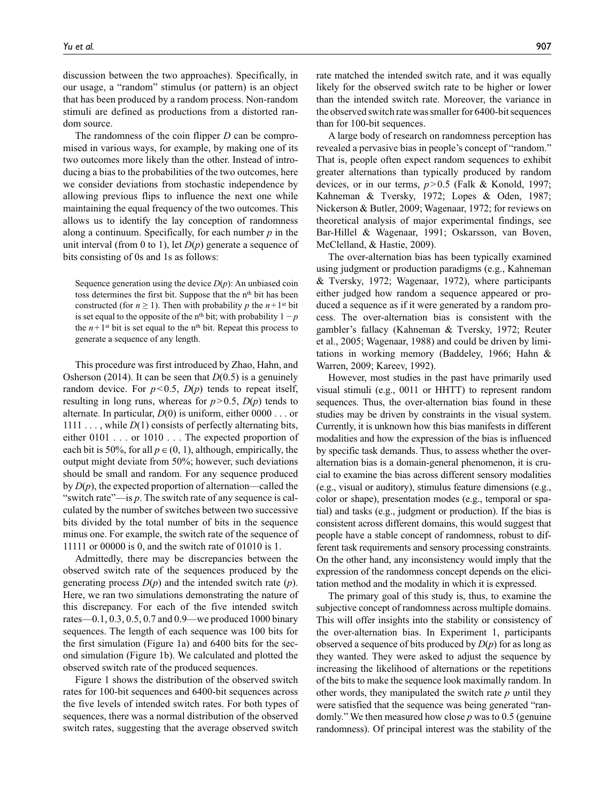discussion between the two approaches). Specifically, in our usage, a "random" stimulus (or pattern) is an object that has been produced by a random process. Non-random stimuli are defined as productions from a distorted random source.

The randomness of the coin flipper *D* can be compromised in various ways, for example, by making one of its two outcomes more likely than the other. Instead of introducing a bias to the probabilities of the two outcomes, here we consider deviations from stochastic independence by allowing previous flips to influence the next one while maintaining the equal frequency of the two outcomes. This allows us to identify the lay conception of randomness along a continuum. Specifically, for each number *p* in the unit interval (from 0 to 1), let *D*(*p*) generate a sequence of bits consisting of 0s and 1s as follows:

Sequence generation using the device  $D(p)$ : An unbiased coin toss determines the first bit. Suppose that the n<sup>th</sup> bit has been constructed (for  $n \ge 1$ ). Then with probability p the  $n+1$ <sup>st</sup> bit is set equal to the opposite of the n<sup>th</sup> bit; with probability  $1 - p$ the  $n+1$ <sup>st</sup> bit is set equal to the n<sup>th</sup> bit. Repeat this process to generate a sequence of any length.

This procedure was first introduced by Zhao, Hahn, and Osherson (2014). It can be seen that *D*(0.5) is a genuinely random device. For  $p<0.5$ ,  $D(p)$  tends to repeat itself, resulting in long runs, whereas for  $p > 0.5$ ,  $D(p)$  tends to alternate. In particular,  $D(0)$  is uniform, either  $0000$ ... or 1111 . . . , while *D*(1) consists of perfectly alternating bits, either 0101 . . . or 1010 . . . The expected proportion of each bit is 50%, for all  $p \in (0, 1)$ , although, empirically, the output might deviate from 50%; however, such deviations should be small and random. For any sequence produced by  $D(p)$ , the expected proportion of alternation—called the "switch rate"—is *p*. The switch rate of any sequence is calculated by the number of switches between two successive bits divided by the total number of bits in the sequence minus one. For example, the switch rate of the sequence of 11111 or 00000 is 0, and the switch rate of 01010 is 1.

Admittedly, there may be discrepancies between the observed switch rate of the sequences produced by the generating process *D*(*p*) and the intended switch rate (*p*). Here, we ran two simulations demonstrating the nature of this discrepancy. For each of the five intended switch rates—0.1, 0.3, 0.5, 0.7 and 0.9—we produced 1000 binary sequences. The length of each sequence was 100 bits for the first simulation (Figure 1a) and 6400 bits for the second simulation (Figure 1b). We calculated and plotted the observed switch rate of the produced sequences.

Figure 1 shows the distribution of the observed switch rates for 100-bit sequences and 6400-bit sequences across the five levels of intended switch rates. For both types of sequences, there was a normal distribution of the observed switch rates, suggesting that the average observed switch rate matched the intended switch rate, and it was equally likely for the observed switch rate to be higher or lower than the intended switch rate. Moreover, the variance in the observed switch rate was smaller for 6400-bit sequences than for 100-bit sequences.

A large body of research on randomness perception has revealed a pervasive bias in people's concept of "random." That is, people often expect random sequences to exhibit greater alternations than typically produced by random devices, or in our terms, *p*>0.5 (Falk & Konold, 1997; Kahneman & Tversky, 1972; Lopes & Oden, 1987; Nickerson & Butler, 2009; Wagenaar, 1972; for reviews on theoretical analysis of major experimental findings, see Bar-Hillel & Wagenaar, 1991; Oskarsson, van Boven, McClelland, & Hastie, 2009).

The over-alternation bias has been typically examined using judgment or production paradigms (e.g., Kahneman & Tversky, 1972; Wagenaar, 1972), where participants either judged how random a sequence appeared or produced a sequence as if it were generated by a random process. The over-alternation bias is consistent with the gambler's fallacy (Kahneman & Tversky, 1972; Reuter et al., 2005; Wagenaar, 1988) and could be driven by limitations in working memory (Baddeley, 1966; Hahn & Warren, 2009; Kareev, 1992).

However, most studies in the past have primarily used visual stimuli (e.g., 0011 or HHTT) to represent random sequences. Thus, the over-alternation bias found in these studies may be driven by constraints in the visual system. Currently, it is unknown how this bias manifests in different modalities and how the expression of the bias is influenced by specific task demands. Thus, to assess whether the overalternation bias is a domain-general phenomenon, it is crucial to examine the bias across different sensory modalities (e.g., visual or auditory), stimulus feature dimensions (e.g., color or shape), presentation modes (e.g., temporal or spatial) and tasks (e.g., judgment or production). If the bias is consistent across different domains, this would suggest that people have a stable concept of randomness, robust to different task requirements and sensory processing constraints. On the other hand, any inconsistency would imply that the expression of the randomness concept depends on the elicitation method and the modality in which it is expressed.

The primary goal of this study is, thus, to examine the subjective concept of randomness across multiple domains. This will offer insights into the stability or consistency of the over-alternation bias. In Experiment 1, participants observed a sequence of bits produced by *D*(*p*) for as long as they wanted. They were asked to adjust the sequence by increasing the likelihood of alternations or the repetitions of the bits to make the sequence look maximally random. In other words, they manipulated the switch rate *p* until they were satisfied that the sequence was being generated "randomly." We then measured how close *p* was to 0.5 (genuine randomness). Of principal interest was the stability of the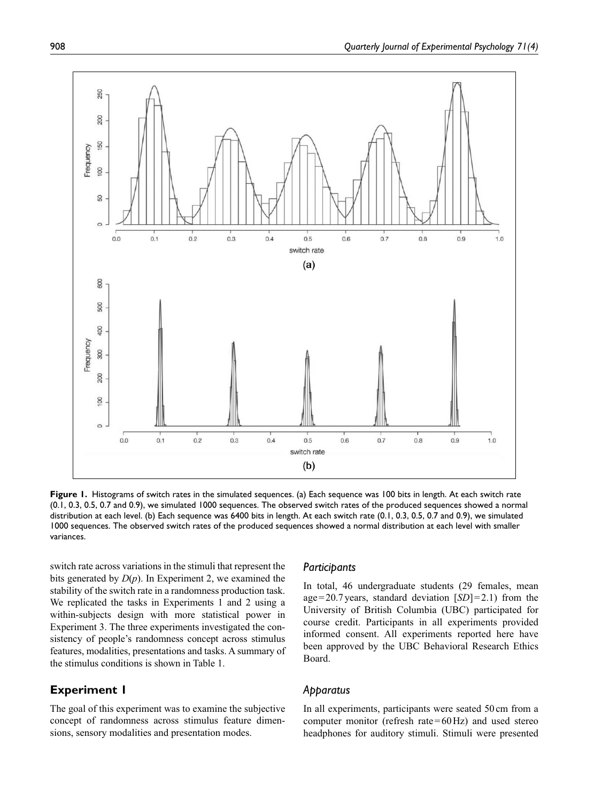

**Figure 1.** Histograms of switch rates in the simulated sequences. (a) Each sequence was 100 bits in length. At each switch rate (0.1, 0.3, 0.5, 0.7 and 0.9), we simulated 1000 sequences. The observed switch rates of the produced sequences showed a normal distribution at each level. (b) Each sequence was 6400 bits in length. At each switch rate (0.1, 0.3, 0.5, 0.7 and 0.9), we simulated 1000 sequences. The observed switch rates of the produced sequences showed a normal distribution at each level with smaller variances.

switch rate across variations in the stimuli that represent the bits generated by *D*(*p*). In Experiment 2, we examined the stability of the switch rate in a randomness production task. We replicated the tasks in Experiments 1 and 2 using a within-subjects design with more statistical power in Experiment 3. The three experiments investigated the consistency of people's randomness concept across stimulus features, modalities, presentations and tasks. A summary of the stimulus conditions is shown in Table 1.

# **Experiment 1**

The goal of this experiment was to examine the subjective concept of randomness across stimulus feature dimensions, sensory modalities and presentation modes.

#### *Participants*

In total, 46 undergraduate students (29 females, mean age=20.7years, standard deviation [*SD*]=2.1) from the University of British Columbia (UBC) participated for course credit. Participants in all experiments provided informed consent. All experiments reported here have been approved by the UBC Behavioral Research Ethics Board.

# *Apparatus*

In all experiments, participants were seated 50 cm from a computer monitor (refresh rate=60Hz) and used stereo headphones for auditory stimuli. Stimuli were presented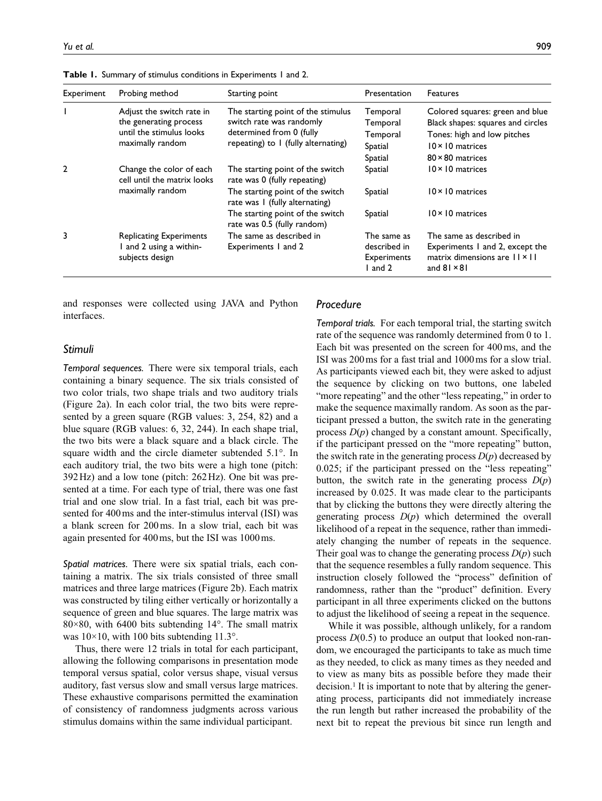| Experiment | Probing method                                                                                      | Starting point                                                                                                                         | Presentation                                               | <b>Features</b>                                                                                                                                           |
|------------|-----------------------------------------------------------------------------------------------------|----------------------------------------------------------------------------------------------------------------------------------------|------------------------------------------------------------|-----------------------------------------------------------------------------------------------------------------------------------------------------------|
|            | Adjust the switch rate in<br>the generating process<br>until the stimulus looks<br>maximally random | The starting point of the stimulus<br>switch rate was randomly<br>determined from 0 (fully<br>repeating) to I (fully alternating)      | Temporal<br>Temporal<br>Temporal<br>Spatial<br>Spatial     | Colored squares: green and blue<br>Black shapes: squares and circles<br>Tones: high and low pitches<br>$10 \times 10$ matrices<br>$80 \times 80$ matrices |
| 2          | Change the color of each<br>cell until the matrix looks<br>maximally random                         | The starting point of the switch<br>rate was 0 (fully repeating)<br>The starting point of the switch<br>rate was I (fully alternating) | Spatial<br>Spatial                                         | $10 \times 10$ matrices<br>$10 \times 10$ matrices                                                                                                        |
|            |                                                                                                     | The starting point of the switch<br>rate was 0.5 (fully random)                                                                        | Spatial                                                    | $10 \times 10$ matrices                                                                                                                                   |
| 3          | <b>Replicating Experiments</b><br>and 2 using a within-<br>subjects design                          | The same as described in<br>Experiments 1 and 2                                                                                        | The same as<br>described in<br><b>Experiments</b><br>and 2 | The same as described in<br>Experiments 1 and 2, except the<br>matrix dimensions are $  x  $<br>and $81 \times 81$                                        |

**Table 1.** Summary of stimulus conditions in Experiments 1 and 2.

and responses were collected using JAVA and Python interfaces.

# *Stimuli*

*Temporal sequences.* There were six temporal trials, each containing a binary sequence. The six trials consisted of two color trials, two shape trials and two auditory trials (Figure 2a). In each color trial, the two bits were represented by a green square (RGB values: 3, 254, 82) and a blue square (RGB values: 6, 32, 244). In each shape trial, the two bits were a black square and a black circle. The square width and the circle diameter subtended 5.1°. In each auditory trial, the two bits were a high tone (pitch: 392Hz) and a low tone (pitch: 262Hz). One bit was presented at a time. For each type of trial, there was one fast trial and one slow trial. In a fast trial, each bit was presented for 400ms and the inter-stimulus interval (ISI) was a blank screen for 200ms. In a slow trial, each bit was again presented for 400ms, but the ISI was 1000ms.

*Spatial matrices.* There were six spatial trials, each containing a matrix. The six trials consisted of three small matrices and three large matrices (Figure 2b). Each matrix was constructed by tiling either vertically or horizontally a sequence of green and blue squares. The large matrix was 80×80, with 6400 bits subtending 14°. The small matrix was  $10\times10$ , with 100 bits subtending 11.3°.

Thus, there were 12 trials in total for each participant, allowing the following comparisons in presentation mode temporal versus spatial, color versus shape, visual versus auditory, fast versus slow and small versus large matrices. These exhaustive comparisons permitted the examination of consistency of randomness judgments across various stimulus domains within the same individual participant.

#### *Procedure*

*Temporal trials.* For each temporal trial, the starting switch rate of the sequence was randomly determined from 0 to 1. Each bit was presented on the screen for 400ms, and the ISI was 200ms for a fast trial and 1000ms for a slow trial. As participants viewed each bit, they were asked to adjust the sequence by clicking on two buttons, one labeled "more repeating" and the other "less repeating," in order to make the sequence maximally random. As soon as the participant pressed a button, the switch rate in the generating process *D*(*p*) changed by a constant amount. Specifically, if the participant pressed on the "more repeating" button, the switch rate in the generating process  $D(p)$  decreased by 0.025; if the participant pressed on the "less repeating" button, the switch rate in the generating process  $D(p)$ increased by 0.025. It was made clear to the participants that by clicking the buttons they were directly altering the generating process *D*(*p*) which determined the overall likelihood of a repeat in the sequence, rather than immediately changing the number of repeats in the sequence. Their goal was to change the generating process  $D(p)$  such that the sequence resembles a fully random sequence. This instruction closely followed the "process" definition of randomness, rather than the "product" definition. Every participant in all three experiments clicked on the buttons to adjust the likelihood of seeing a repeat in the sequence.

While it was possible, although unlikely, for a random process *D*(0.5) to produce an output that looked non-random, we encouraged the participants to take as much time as they needed, to click as many times as they needed and to view as many bits as possible before they made their decision.<sup>1</sup> It is important to note that by altering the generating process, participants did not immediately increase the run length but rather increased the probability of the next bit to repeat the previous bit since run length and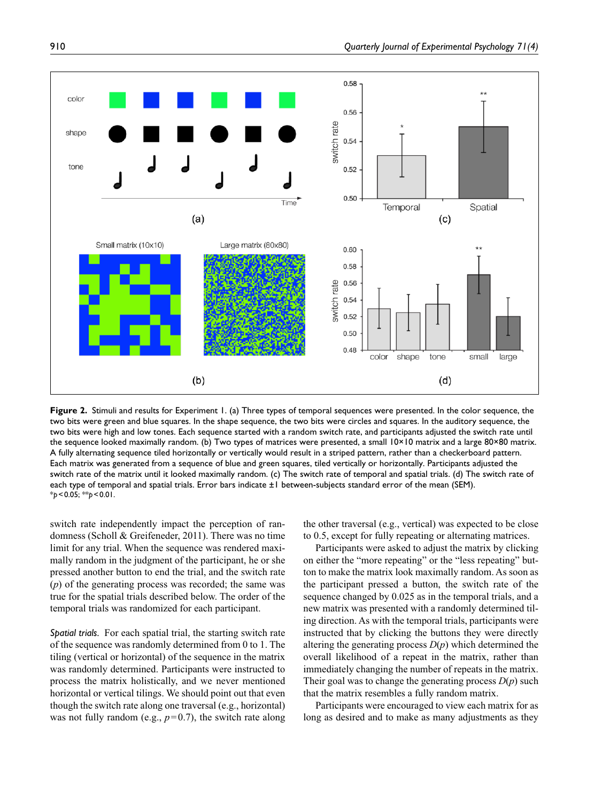

**Figure 2.** Stimuli and results for Experiment 1. (a) Three types of temporal sequences were presented. In the color sequence, the two bits were green and blue squares. In the shape sequence, the two bits were circles and squares. In the auditory sequence, the two bits were high and low tones. Each sequence started with a random switch rate, and participants adjusted the switch rate until the sequence looked maximally random. (b) Two types of matrices were presented, a small 10×10 matrix and a large 80×80 matrix. A fully alternating sequence tiled horizontally or vertically would result in a striped pattern, rather than a checkerboard pattern. Each matrix was generated from a sequence of blue and green squares, tiled vertically or horizontally. Participants adjusted the switch rate of the matrix until it looked maximally random. (c) The switch rate of temporal and spatial trials. (d) The switch rate of each type of temporal and spatial trials. Error bars indicate ±1 between-subjects standard error of the mean (SEM). \**p*<0.05; \*\**p*<0.01.

switch rate independently impact the perception of randomness (Scholl & Greifeneder, 2011). There was no time limit for any trial. When the sequence was rendered maximally random in the judgment of the participant, he or she pressed another button to end the trial, and the switch rate (*p*) of the generating process was recorded; the same was true for the spatial trials described below. The order of the temporal trials was randomized for each participant.

*Spatial trials.* For each spatial trial, the starting switch rate of the sequence was randomly determined from 0 to 1. The tiling (vertical or horizontal) of the sequence in the matrix was randomly determined. Participants were instructed to process the matrix holistically, and we never mentioned horizontal or vertical tilings. We should point out that even though the switch rate along one traversal (e.g., horizontal) was not fully random (e.g., *p*=0.7), the switch rate along the other traversal (e.g., vertical) was expected to be close to 0.5, except for fully repeating or alternating matrices.

Participants were asked to adjust the matrix by clicking on either the "more repeating" or the "less repeating" button to make the matrix look maximally random. As soon as the participant pressed a button, the switch rate of the sequence changed by 0.025 as in the temporal trials, and a new matrix was presented with a randomly determined tiling direction. As with the temporal trials, participants were instructed that by clicking the buttons they were directly altering the generating process *D*(*p*) which determined the overall likelihood of a repeat in the matrix, rather than immediately changing the number of repeats in the matrix. Their goal was to change the generating process  $D(p)$  such that the matrix resembles a fully random matrix.

Participants were encouraged to view each matrix for as long as desired and to make as many adjustments as they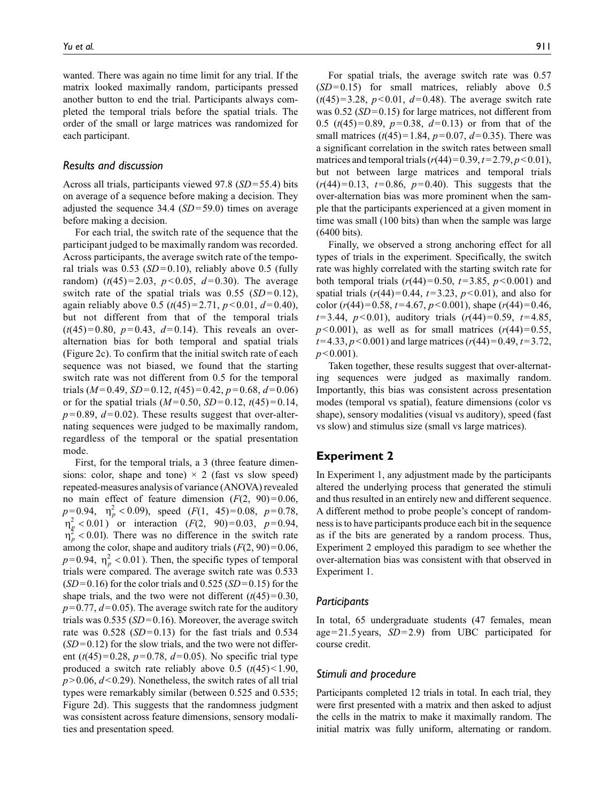wanted. There was again no time limit for any trial. If the matrix looked maximally random, participants pressed another button to end the trial. Participants always completed the temporal trials before the spatial trials. The order of the small or large matrices was randomized for each participant.

#### *Results and discussion*

Across all trials, participants viewed 97.8 (*SD*=55.4) bits on average of a sequence before making a decision. They adjusted the sequence 34.4 (*SD*=59.0) times on average before making a decision.

For each trial, the switch rate of the sequence that the participant judged to be maximally random was recorded. Across participants, the average switch rate of the temporal trials was  $0.53$  (*SD*=0.10), reliably above 0.5 (fully random)  $(t(45)=2.03, p<0.05, d=0.30)$ . The average switch rate of the spatial trials was  $0.55$  (*SD* = 0.12), again reliably above 0.5 ( $t(45) = 2.71$ ,  $p < 0.01$ ,  $d = 0.40$ ), but not different from that of the temporal trials  $(t(45)=0.80, p=0.43, d=0.14)$ . This reveals an overalternation bias for both temporal and spatial trials (Figure 2c). To confirm that the initial switch rate of each sequence was not biased, we found that the starting switch rate was not different from 0.5 for the temporal trials ( $M=0.49$ ,  $SD=0.12$ ,  $t(45)=0.42$ ,  $p=0.68$ ,  $d=0.06$ ) or for the spatial trials  $(M=0.50, SD=0.12, t(45)=0.14,$  $p=0.89$ ,  $d=0.02$ ). These results suggest that over-alternating sequences were judged to be maximally random, regardless of the temporal or the spatial presentation mode.

First, for the temporal trials, a 3 (three feature dimensions: color, shape and tone)  $\times$  2 (fast vs slow speed) repeated-measures analysis of variance (ANOVA) revealed no main effect of feature dimension  $(F(2, 90)=0.06,$  $p=0.94$ ,  $\eta_p^2 < 0.09$ ), speed (*F*(1, 45)=0.08, *p*=0.78,  $\eta_p^2$  < 0.01) or interaction (*F*(2, 90)=0.03, *p*=0.94,  $\eta_p^2$  < 0.01). There was no difference in the switch rate among the color, shape and auditory trials  $(F(2, 90)=0.06,$  $p=0.94$ ,  $\eta_p^2 < 0.01$ ). Then, the specific types of temporal trials were compared. The average switch rate was 0.533  $(SD=0.16)$  for the color trials and  $0.525$   $(SD=0.15)$  for the shape trials, and the two were not different  $(t(45)=0.30,$  $p=0.77, d=0.05$ . The average switch rate for the auditory trials was 0.535 (*SD*=0.16). Moreover, the average switch rate was  $0.528$  (*SD*=0.13) for the fast trials and 0.534  $(SD=0.12)$  for the slow trials, and the two were not different  $(t(45)=0.28, p=0.78, d=0.05)$ . No specific trial type produced a switch rate reliably above  $0.5$   $(t(45) < 1.90$ ,  $p > 0.06$ ,  $d < 0.29$ ). Nonetheless, the switch rates of all trial types were remarkably similar (between 0.525 and 0.535; Figure 2d). This suggests that the randomness judgment was consistent across feature dimensions, sensory modalities and presentation speed.

For spatial trials, the average switch rate was 0.57  $(SD=0.15)$  for small matrices, reliably above  $0.5$  $(t(45)=3.28, p<0.01, d=0.48)$ . The average switch rate was 0.52 (*SD*=0.15) for large matrices, not different from 0.5 (*t*(45)=0.89, *p*=0.38, *d*=0.13) or from that of the small matrices  $(t(45)=1.84, p=0.07, d=0.35)$ . There was a significant correlation in the switch rates between small matrices and temporal trials  $(r(44)=0.39, t=2.79, p<0.01)$ , but not between large matrices and temporal trials  $(r(44)=0.13, t=0.86, p=0.40)$ . This suggests that the over-alternation bias was more prominent when the sample that the participants experienced at a given moment in time was small (100 bits) than when the sample was large (6400 bits).

Finally, we observed a strong anchoring effect for all types of trials in the experiment. Specifically, the switch rate was highly correlated with the starting switch rate for both temporal trials  $(r(44)=0.50, t=3.85, p<0.001)$  and spatial trials  $(r(44)=0.44, t=3.23, p<0.01)$ , and also for color ( $r(44)$ =0.58,  $t=4.67$ ,  $p<0.001$ ), shape ( $r(44)$ =0.46, *t*=3.44, *p*<0.01), auditory trials (*r*(44)=0.59, *t*=4.85,  $p$ <0.001), as well as for small matrices ( $r(44)$ =0.55,  $t=4.33, p<0.001$ ) and large matrices ( $r(44)=0.49, t=3.72$ , *p*<0.001).

Taken together, these results suggest that over-alternating sequences were judged as maximally random. Importantly, this bias was consistent across presentation modes (temporal vs spatial), feature dimensions (color vs shape), sensory modalities (visual vs auditory), speed (fast vs slow) and stimulus size (small vs large matrices).

# **Experiment 2**

In Experiment 1, any adjustment made by the participants altered the underlying process that generated the stimuli and thus resulted in an entirely new and different sequence. A different method to probe people's concept of randomness is to have participants produce each bit in the sequence as if the bits are generated by a random process. Thus, Experiment 2 employed this paradigm to see whether the over-alternation bias was consistent with that observed in Experiment 1.

#### *Participants*

In total, 65 undergraduate students (47 females, mean age=21.5years, *SD*=2.9) from UBC participated for course credit.

#### *Stimuli and procedure*

Participants completed 12 trials in total. In each trial, they were first presented with a matrix and then asked to adjust the cells in the matrix to make it maximally random. The initial matrix was fully uniform, alternating or random.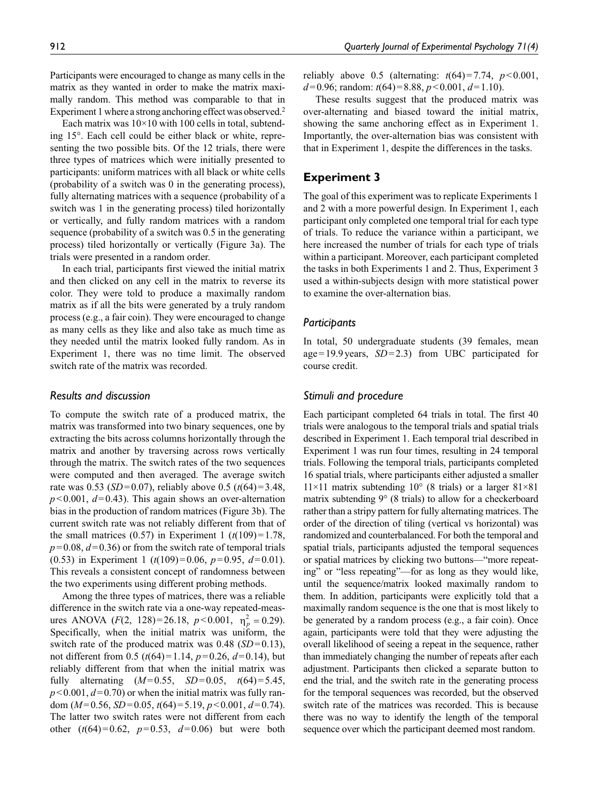Each matrix was  $10\times10$  with 100 cells in total, subtending 15°. Each cell could be either black or white, representing the two possible bits. Of the 12 trials, there were three types of matrices which were initially presented to participants: uniform matrices with all black or white cells (probability of a switch was 0 in the generating process), fully alternating matrices with a sequence (probability of a switch was 1 in the generating process) tiled horizontally or vertically, and fully random matrices with a random sequence (probability of a switch was 0.5 in the generating process) tiled horizontally or vertically (Figure 3a). The trials were presented in a random order.

In each trial, participants first viewed the initial matrix and then clicked on any cell in the matrix to reverse its color. They were told to produce a maximally random matrix as if all the bits were generated by a truly random process (e.g., a fair coin). They were encouraged to change as many cells as they like and also take as much time as they needed until the matrix looked fully random. As in Experiment 1, there was no time limit. The observed switch rate of the matrix was recorded.

# *Results and discussion*

To compute the switch rate of a produced matrix, the matrix was transformed into two binary sequences, one by extracting the bits across columns horizontally through the matrix and another by traversing across rows vertically through the matrix. The switch rates of the two sequences were computed and then averaged. The average switch rate was 0.53 (*SD*=0.07), reliably above 0.5 (*t*(64)=3.48,  $p$ <0.001,  $d$ =0.43). This again shows an over-alternation bias in the production of random matrices (Figure 3b). The current switch rate was not reliably different from that of the small matrices  $(0.57)$  in Experiment 1  $(t(109)=1.78$ ,  $p=0.08$ ,  $d=0.36$ ) or from the switch rate of temporal trials (0.53) in Experiment 1 (*t*(109)=0.06, *p*=0.95, *d*=0.01). This reveals a consistent concept of randomness between the two experiments using different probing methods.

Among the three types of matrices, there was a reliable difference in the switch rate via a one-way repeated-measures ANOVA (*F*(2, 128)=26.18, *p*<0.001,  $\eta_p^2 = 0.29$ ). Specifically, when the initial matrix was uniform, the switch rate of the produced matrix was 0.48 (*SD*=0.13), not different from 0.5 (*t*(64)=1.14, *p*=0.26, *d*=0.14), but reliably different from that when the initial matrix was fully alternating  $(M=0.55, SD=0.05, t(64)=5.45,$  $p$ <0.001,  $d$ =0.70) or when the initial matrix was fully random (*M*=0.56, *SD*=0.05, *t*(64)=5.19, *p*<0.001, *d*=0.74). The latter two switch rates were not different from each other  $(t(64)=0.62, p=0.53, d=0.06)$  but were both

reliably above 0.5 (alternating:  $t(64)=7.74$ ,  $p<0.001$ , *d*=0.96; random: *t*(64)=8.88, *p*<0.001, *d*=1.10).

These results suggest that the produced matrix was over-alternating and biased toward the initial matrix, showing the same anchoring effect as in Experiment 1. Importantly, the over-alternation bias was consistent with that in Experiment 1, despite the differences in the tasks.

# **Experiment 3**

The goal of this experiment was to replicate Experiments 1 and 2 with a more powerful design. In Experiment 1, each participant only completed one temporal trial for each type of trials. To reduce the variance within a participant, we here increased the number of trials for each type of trials within a participant. Moreover, each participant completed the tasks in both Experiments 1 and 2. Thus, Experiment 3 used a within-subjects design with more statistical power to examine the over-alternation bias.

# *Participants*

In total, 50 undergraduate students (39 females, mean age=19.9years, *SD*=2.3) from UBC participated for course credit.

#### *Stimuli and procedure*

Each participant completed 64 trials in total. The first 40 trials were analogous to the temporal trials and spatial trials described in Experiment 1. Each temporal trial described in Experiment 1 was run four times, resulting in 24 temporal trials. Following the temporal trials, participants completed 16 spatial trials, where participants either adjusted a smaller  $11\times11$  matrix subtending  $10^{\circ}$  (8 trials) or a larger  $81\times81$ matrix subtending 9° (8 trials) to allow for a checkerboard rather than a stripy pattern for fully alternating matrices. The order of the direction of tiling (vertical vs horizontal) was randomized and counterbalanced. For both the temporal and spatial trials, participants adjusted the temporal sequences or spatial matrices by clicking two buttons—"more repeating" or "less repeating"—for as long as they would like, until the sequence/matrix looked maximally random to them. In addition, participants were explicitly told that a maximally random sequence is the one that is most likely to be generated by a random process (e.g., a fair coin). Once again, participants were told that they were adjusting the overall likelihood of seeing a repeat in the sequence, rather than immediately changing the number of repeats after each adjustment. Participants then clicked a separate button to end the trial, and the switch rate in the generating process for the temporal sequences was recorded, but the observed switch rate of the matrices was recorded. This is because there was no way to identify the length of the temporal sequence over which the participant deemed most random.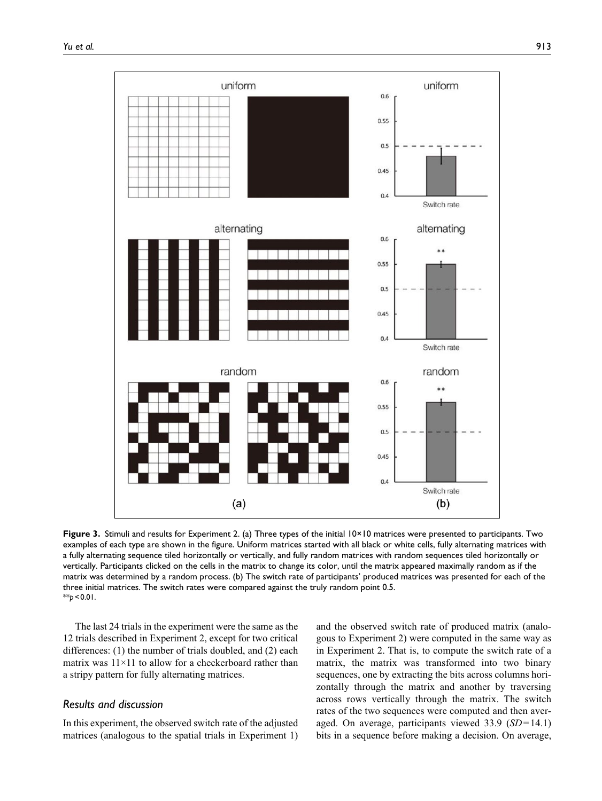

**Figure 3.** Stimuli and results for Experiment 2. (a) Three types of the initial  $10 \times 10$  matrices were presented to participants. Two examples of each type are shown in the figure. Uniform matrices started with all black or white cells, fully alternating matrices with a fully alternating sequence tiled horizontally or vertically, and fully random matrices with random sequences tiled horizontally or vertically. Participants clicked on the cells in the matrix to change its color, until the matrix appeared maximally random as if the matrix was determined by a random process. (b) The switch rate of participants' produced matrices was presented for each of the three initial matrices. The switch rates were compared against the truly random point 0.5. \*\**p*<0.01.

The last 24 trials in the experiment were the same as the 12 trials described in Experiment 2, except for two critical differences: (1) the number of trials doubled, and (2) each matrix was  $11 \times 11$  to allow for a checkerboard rather than a stripy pattern for fully alternating matrices.

# *Results and discussion*

In this experiment, the observed switch rate of the adjusted matrices (analogous to the spatial trials in Experiment 1)

and the observed switch rate of produced matrix (analogous to Experiment 2) were computed in the same way as in Experiment 2. That is, to compute the switch rate of a matrix, the matrix was transformed into two binary sequences, one by extracting the bits across columns horizontally through the matrix and another by traversing across rows vertically through the matrix. The switch rates of the two sequences were computed and then averaged. On average, participants viewed 33.9 (*SD*=14.1) bits in a sequence before making a decision. On average,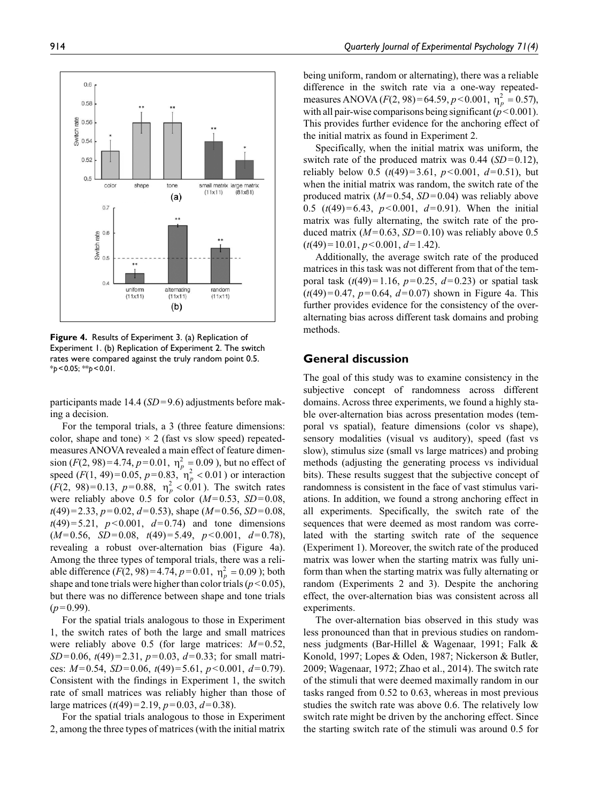

**Figure 4.** Results of Experiment 3. (a) Replication of Experiment 1. (b) Replication of Experiment 2. The switch rates were compared against the truly random point 0.5. \**p*<0.05; \*\**p*<0.01.

participants made 14.4 (*SD*=9.6) adjustments before making a decision.

For the temporal trials, a 3 (three feature dimensions: color, shape and tone)  $\times$  2 (fast vs slow speed) repeatedmeasures ANOVA revealed a main effect of feature dimension  $(F(2, 98)=4.74, p=0.01, \eta_p^2=0.09$ ), but no effect of speed  $(F(1, 49)=0.05, p=0.83, m_p^2 < 0.01)$  or interaction  $(F(2, 98)=0.13, p=0.88, \eta_p^2 < 0.01)$ . The switch rates were reliably above 0.5 for color (*M*=0.53, *SD*=0.08, *t*(49)=2.33, *p*=0.02, *d*=0.53), shape (*M*=0.56, *SD*=0.08,  $t(49)=5.21$ ,  $p<0.001$ ,  $d=0.74$ ) and tone dimensions (*M*=0.56, *SD*=0.08, *t*(49)=5.49, *p*<0.001, *d*=0.78), revealing a robust over-alternation bias (Figure 4a). Among the three types of temporal trials, there was a reliable difference  $(F(2, 98)=4.74, p=0.01, \eta_p^2=0.09)$ ; both shape and tone trials were higher than color trials ( $p < 0.05$ ), but there was no difference between shape and tone trials  $(p=0.99)$ .

For the spatial trials analogous to those in Experiment 1, the switch rates of both the large and small matrices were reliably above 0.5 (for large matrices: *M*=0.52, *SD*=0.06, *t*(49)=2.31, *p*=0.03, *d*=0.33; for small matrices: *M*=0.54, *SD*=0.06, *t*(49)=5.61, *p*<0.001, *d*=0.79). Consistent with the findings in Experiment 1, the switch rate of small matrices was reliably higher than those of large matrices (*t*(49)=2.19, *p*=0.03, *d*=0.38).

For the spatial trials analogous to those in Experiment 2, among the three types of matrices (with the initial matrix

being uniform, random or alternating), there was a reliable difference in the switch rate via a one-way repeatedmeasures ANOVA  $(F(2, 98) = 64.59, p < 0.001, \eta_p^2 = 0.57)$ , with all pair-wise comparisons being significant  $(p<0.001)$ . This provides further evidence for the anchoring effect of the initial matrix as found in Experiment 2.

Specifically, when the initial matrix was uniform, the switch rate of the produced matrix was 0.44 (*SD*=0.12), reliably below 0.5 ( $t(49) = 3.61$ ,  $p < 0.001$ ,  $d = 0.51$ ), but when the initial matrix was random, the switch rate of the produced matrix (*M*=0.54, *SD*=0.04) was reliably above 0.5 (*t*(49)=6.43, *p*<0.001, *d*=0.91). When the initial matrix was fully alternating, the switch rate of the produced matrix  $(M=0.63, SD=0.10)$  was reliably above 0.5 (*t*(49)=10.01, *p*<0.001, *d*=1.42).

Additionally, the average switch rate of the produced matrices in this task was not different from that of the temporal task  $(t(49)=1.16, p=0.25, d=0.23)$  or spatial task  $(t(49)=0.47, p=0.64, d=0.07)$  shown in Figure 4a. This further provides evidence for the consistency of the overalternating bias across different task domains and probing methods.

# **General discussion**

The goal of this study was to examine consistency in the subjective concept of randomness across different domains. Across three experiments, we found a highly stable over-alternation bias across presentation modes (temporal vs spatial), feature dimensions (color vs shape), sensory modalities (visual vs auditory), speed (fast vs slow), stimulus size (small vs large matrices) and probing methods (adjusting the generating process vs individual bits). These results suggest that the subjective concept of randomness is consistent in the face of vast stimulus variations. In addition, we found a strong anchoring effect in all experiments. Specifically, the switch rate of the sequences that were deemed as most random was correlated with the starting switch rate of the sequence (Experiment 1). Moreover, the switch rate of the produced matrix was lower when the starting matrix was fully uniform than when the starting matrix was fully alternating or random (Experiments 2 and 3). Despite the anchoring effect, the over-alternation bias was consistent across all experiments.

The over-alternation bias observed in this study was less pronounced than that in previous studies on randomness judgments (Bar-Hillel & Wagenaar, 1991; Falk & Konold, 1997; Lopes & Oden, 1987; Nickerson & Butler, 2009; Wagenaar, 1972; Zhao et al., 2014). The switch rate of the stimuli that were deemed maximally random in our tasks ranged from 0.52 to 0.63, whereas in most previous studies the switch rate was above 0.6. The relatively low switch rate might be driven by the anchoring effect. Since the starting switch rate of the stimuli was around 0.5 for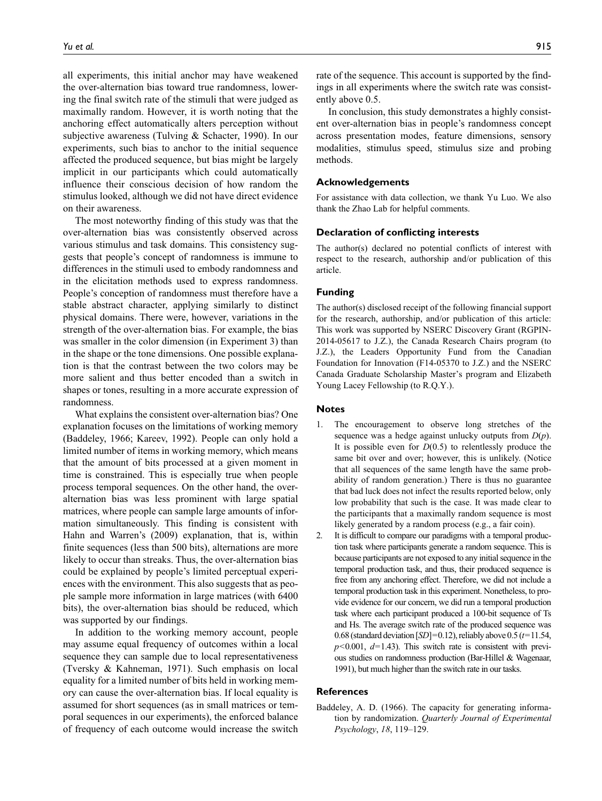all experiments, this initial anchor may have weakened the over-alternation bias toward true randomness, lowering the final switch rate of the stimuli that were judged as maximally random. However, it is worth noting that the anchoring effect automatically alters perception without subjective awareness (Tulving & Schacter, 1990). In our experiments, such bias to anchor to the initial sequence affected the produced sequence, but bias might be largely implicit in our participants which could automatically influence their conscious decision of how random the stimulus looked, although we did not have direct evidence on their awareness.

The most noteworthy finding of this study was that the over-alternation bias was consistently observed across various stimulus and task domains. This consistency suggests that people's concept of randomness is immune to differences in the stimuli used to embody randomness and in the elicitation methods used to express randomness. People's conception of randomness must therefore have a stable abstract character, applying similarly to distinct physical domains. There were, however, variations in the strength of the over-alternation bias. For example, the bias was smaller in the color dimension (in Experiment 3) than in the shape or the tone dimensions. One possible explanation is that the contrast between the two colors may be more salient and thus better encoded than a switch in shapes or tones, resulting in a more accurate expression of randomness.

What explains the consistent over-alternation bias? One explanation focuses on the limitations of working memory (Baddeley, 1966; Kareev, 1992). People can only hold a limited number of items in working memory, which means that the amount of bits processed at a given moment in time is constrained. This is especially true when people process temporal sequences. On the other hand, the overalternation bias was less prominent with large spatial matrices, where people can sample large amounts of information simultaneously. This finding is consistent with Hahn and Warren's (2009) explanation, that is, within finite sequences (less than 500 bits), alternations are more likely to occur than streaks. Thus, the over-alternation bias could be explained by people's limited perceptual experiences with the environment. This also suggests that as people sample more information in large matrices (with 6400 bits), the over-alternation bias should be reduced, which was supported by our findings.

In addition to the working memory account, people may assume equal frequency of outcomes within a local sequence they can sample due to local representativeness (Tversky & Kahneman, 1971). Such emphasis on local equality for a limited number of bits held in working memory can cause the over-alternation bias. If local equality is assumed for short sequences (as in small matrices or temporal sequences in our experiments), the enforced balance of frequency of each outcome would increase the switch rate of the sequence. This account is supported by the findings in all experiments where the switch rate was consistently above 0.5.

In conclusion, this study demonstrates a highly consistent over-alternation bias in people's randomness concept across presentation modes, feature dimensions, sensory modalities, stimulus speed, stimulus size and probing methods.

### **Acknowledgements**

For assistance with data collection, we thank Yu Luo. We also thank the Zhao Lab for helpful comments.

# **Declaration of conflicting interests**

The author(s) declared no potential conflicts of interest with respect to the research, authorship and/or publication of this article.

#### **Funding**

The author(s) disclosed receipt of the following financial support for the research, authorship, and/or publication of this article: This work was supported by NSERC Discovery Grant (RGPIN-2014-05617 to J.Z.), the Canada Research Chairs program (to J.Z.), the Leaders Opportunity Fund from the Canadian Foundation for Innovation (F14-05370 to J.Z.) and the NSERC Canada Graduate Scholarship Master's program and Elizabeth Young Lacey Fellowship (to R.Q.Y.).

### **Notes**

- 1. The encouragement to observe long stretches of the sequence was a hedge against unlucky outputs from *D*(*p*). It is possible even for *D*(0.5) to relentlessly produce the same bit over and over; however, this is unlikely. (Notice that all sequences of the same length have the same probability of random generation.) There is thus no guarantee that bad luck does not infect the results reported below, only low probability that such is the case. It was made clear to the participants that a maximally random sequence is most likely generated by a random process (e.g., a fair coin).
- 2. It is difficult to compare our paradigms with a temporal production task where participants generate a random sequence. This is because participants are not exposed to any initial sequence in the temporal production task, and thus, their produced sequence is free from any anchoring effect. Therefore, we did not include a temporal production task in this experiment. Nonetheless, to provide evidence for our concern, we did run a temporal production task where each participant produced a 100-bit sequence of Ts and Hs. The average switch rate of the produced sequence was 0.68 (standard deviation [*SD*]=0.12), reliably above 0.5 (*t*=11.54,  $p$ <0.001,  $d$ =1.43). This switch rate is consistent with previous studies on randomness production (Bar-Hillel & Wagenaar, 1991), but much higher than the switch rate in our tasks.

#### **References**

Baddeley, A. D. (1966). The capacity for generating information by randomization. *Quarterly Journal of Experimental Psychology*, *18*, 119–129.